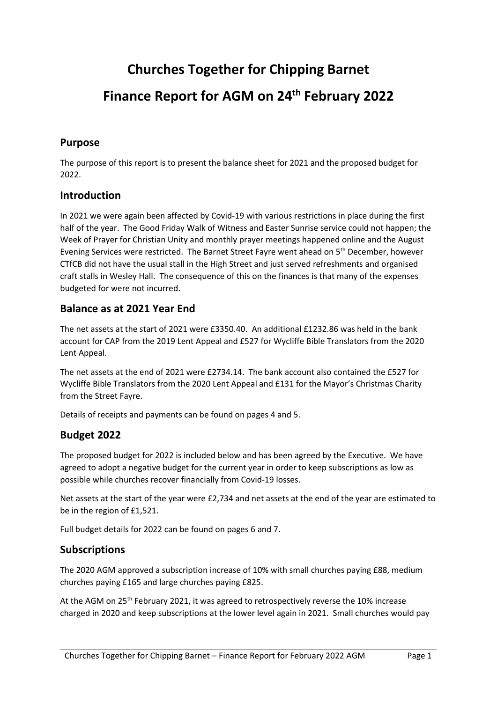# **Churches Together for Chipping Barnet Finance Report for AGM on 24 th February 2022**

#### **Purpose**

The purpose of this report is to present the balance sheet for 2021 and the proposed budget for 2022.

#### **Introduction**

In 2021 we were again been affected by Covid-19 with various restrictions in place during the first half of the year. The Good Friday Walk of Witness and Easter Sunrise service could not happen; the Week of Prayer for Christian Unity and monthly prayer meetings happened online and the August Evening Services were restricted. The Barnet Street Fayre went ahead on 5th December, however CTfCB did not have the usual stall in the High Street and just served refreshments and organised craft stalls in Wesley Hall. The consequence of this on the finances is that many of the expenses budgeted for were not incurred.

#### **Balance as at 2021 Year End**

The net assets at the start of 2021 were £3350.40. An additional £1232.86 was held in the bank account for CAP from the 2019 Lent Appeal and £527 for Wycliffe Bible Translators from the 2020 Lent Appeal.

The net assets at the end of 2021 were £2734.14. The bank account also contained the £527 for Wycliffe Bible Translators from the 2020 Lent Appeal and £131 for the Mayor's Christmas Charity from the Street Fayre.

Details of receipts and payments can be found on pages 4 and 5.

#### **Budget 2022**

The proposed budget for 2022 is included below and has been agreed by the Executive. We have agreed to adopt a negative budget for the current year in order to keep subscriptions as low as possible while churches recover financially from Covid-19 losses.

Net assets at the start of the year were £2,734 and net assets at the end of the year are estimated to be in the region of £1,521.

Full budget details for 2022 can be found on pages 6 and 7.

#### **Subscriptions**

The 2020 AGM approved a subscription increase of 10% with small churches paying £88, medium churches paying £165 and large churches paying £825.

At the AGM on 25<sup>th</sup> February 2021, it was agreed to retrospectively reverse the 10% increase charged in 2020 and keep subscriptions at the lower level again in 2021. Small churches would pay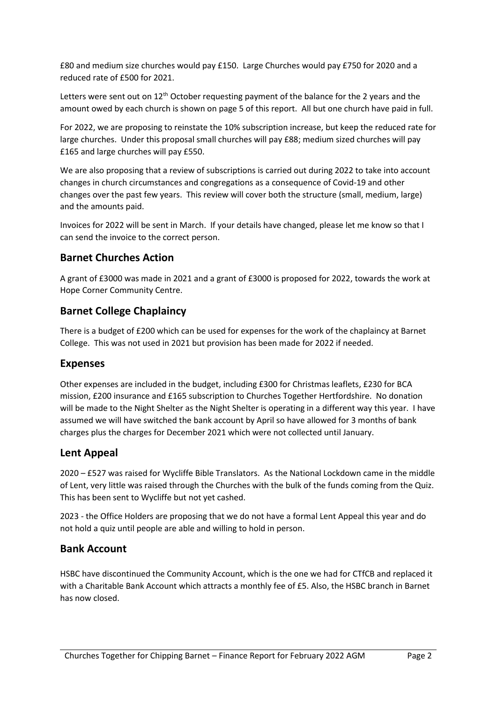£80 and medium size churches would pay £150. Large Churches would pay £750 for 2020 and a reduced rate of £500 for 2021.

Letters were sent out on 12<sup>th</sup> October requesting payment of the balance for the 2 years and the amount owed by each church is shown on page 5 of this report. All but one church have paid in full.

For 2022, we are proposing to reinstate the 10% subscription increase, but keep the reduced rate for large churches. Under this proposal small churches will pay £88; medium sized churches will pay £165 and large churches will pay £550.

We are also proposing that a review of subscriptions is carried out during 2022 to take into account changes in church circumstances and congregations as a consequence of Covid-19 and other changes over the past few years. This review will cover both the structure (small, medium, large) and the amounts paid.

Invoices for 2022 will be sent in March. If your details have changed, please let me know so that I can send the invoice to the correct person.

#### **Barnet Churches Action**

A grant of £3000 was made in 2021 and a grant of £3000 is proposed for 2022, towards the work at Hope Corner Community Centre.

#### **Barnet College Chaplaincy**

There is a budget of £200 which can be used for expenses for the work of the chaplaincy at Barnet College. This was not used in 2021 but provision has been made for 2022 if needed.

#### **Expenses**

Other expenses are included in the budget, including £300 for Christmas leaflets, £230 for BCA mission, £200 insurance and £165 subscription to Churches Together Hertfordshire. No donation will be made to the Night Shelter as the Night Shelter is operating in a different way this year. I have assumed we will have switched the bank account by April so have allowed for 3 months of bank charges plus the charges for December 2021 which were not collected until January.

#### **Lent Appeal**

2020 – £527 was raised for Wycliffe Bible Translators. As the National Lockdown came in the middle of Lent, very little was raised through the Churches with the bulk of the funds coming from the Quiz. This has been sent to Wycliffe but not yet cashed.

2023 - the Office Holders are proposing that we do not have a formal Lent Appeal this year and do not hold a quiz until people are able and willing to hold in person.

#### **Bank Account**

HSBC have discontinued the Community Account, which is the one we had for CTfCB and replaced it with a Charitable Bank Account which attracts a monthly fee of £5. Also, the HSBC branch in Barnet has now closed.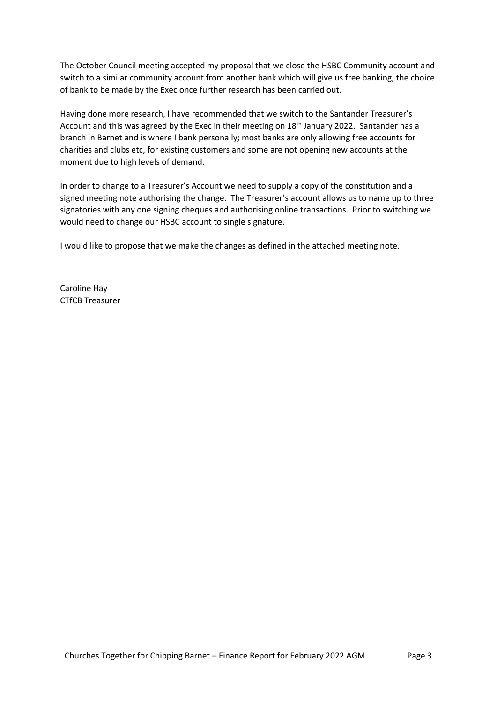The October Council meeting accepted my proposal that we close the HSBC Community account and switch to a similar community account from another bank which will give us free banking, the choice of bank to be made by the Exec once further research has been carried out.

Having done more research, I have recommended that we switch to the Santander Treasurer's Account and this was agreed by the Exec in their meeting on  $18<sup>th</sup>$  January 2022. Santander has a branch in Barnet and is where I bank personally; most banks are only allowing free accounts for charities and clubs etc, for existing customers and some are not opening new accounts at the moment due to high levels of demand.

In order to change to a Treasurer's Account we need to supply a copy of the constitution and a signed meeting note authorising the change. The Treasurer's account allows us to name up to three signatories with any one signing cheques and authorising online transactions. Prior to switching we would need to change our HSBC account to single signature.

I would like to propose that we make the changes as defined in the attached meeting note.

Caroline Hay CTfCB Treasurer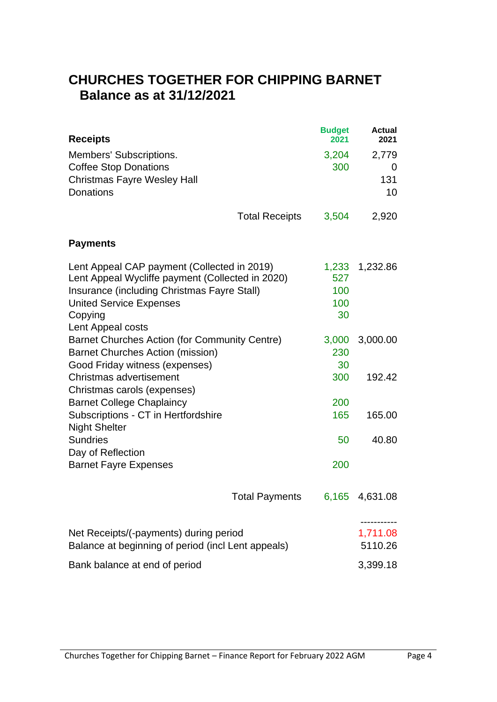### **CHURCHES TOGETHER FOR CHIPPING BARNET Balance as at 31/12/2021**

| <b>Receipts</b>                                                                                                                                                                                                  |                       | <b>Budget</b><br>2021            | <b>Actual</b><br>2021   |
|------------------------------------------------------------------------------------------------------------------------------------------------------------------------------------------------------------------|-----------------------|----------------------------------|-------------------------|
| Members' Subscriptions.<br><b>Coffee Stop Donations</b><br><b>Christmas Fayre Wesley Hall</b><br><b>Donations</b>                                                                                                |                       | 3,204<br>300                     | 2,779<br>0<br>131<br>10 |
|                                                                                                                                                                                                                  | <b>Total Receipts</b> | 3,504                            | 2,920                   |
| <b>Payments</b>                                                                                                                                                                                                  |                       |                                  |                         |
| Lent Appeal CAP payment (Collected in 2019)<br>Lent Appeal Wycliffe payment (Collected in 2020)<br>Insurance (including Christmas Fayre Stall)<br><b>United Service Expenses</b><br>Copying<br>Lent Appeal costs |                       | 1,233<br>527<br>100<br>100<br>30 | 1,232.86                |
| Barnet Churches Action (for Community Centre)<br><b>Barnet Churches Action (mission)</b><br>Good Friday witness (expenses)                                                                                       |                       | 3,000<br>230<br>30               | 3,000.00                |
| Christmas advertisement<br>Christmas carols (expenses)                                                                                                                                                           |                       | 300                              | 192.42                  |
| <b>Barnet College Chaplaincy</b><br>Subscriptions - CT in Hertfordshire<br><b>Night Shelter</b>                                                                                                                  |                       | 200<br>165                       | 165.00                  |
| <b>Sundries</b><br>Day of Reflection                                                                                                                                                                             |                       | 50                               | 40.80                   |
| <b>Barnet Fayre Expenses</b>                                                                                                                                                                                     |                       | 200                              |                         |
|                                                                                                                                                                                                                  | <b>Total Payments</b> | 6,165                            | 4,631.08                |
| Net Receipts/(-payments) during period<br>Balance at beginning of period (incl Lent appeals)                                                                                                                     |                       |                                  | 1,711.08<br>5110.26     |
| Bank balance at end of period                                                                                                                                                                                    |                       |                                  | 3,399.18                |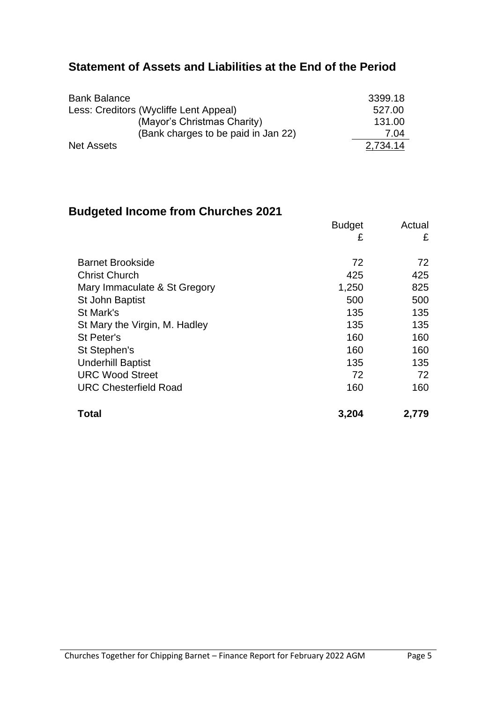### **Statement of Assets and Liabilities at the End of the Period**

| <b>Bank Balance</b>                    | 3399.18  |
|----------------------------------------|----------|
| Less: Creditors (Wycliffe Lent Appeal) | 527.00   |
| (Mayor's Christmas Charity)            | 131.00   |
| (Bank charges to be paid in Jan 22)    | 7.04     |
| <b>Net Assets</b>                      | 2,734.14 |

### **Budgeted Income from Churches 2021**

|                               | <b>Budget</b> | Actual |
|-------------------------------|---------------|--------|
|                               | £             | £      |
| <b>Barnet Brookside</b>       | 72            | 72     |
| <b>Christ Church</b>          | 425           | 425    |
| Mary Immaculate & St Gregory  | 1,250         | 825    |
| St John Baptist               | 500           | 500    |
| St Mark's                     | 135           | 135    |
| St Mary the Virgin, M. Hadley | 135           | 135    |
| St Peter's                    | 160           | 160    |
| St Stephen's                  | 160           | 160    |
| <b>Underhill Baptist</b>      | 135           | 135    |
| <b>URC Wood Street</b>        | 72            | 72     |
| <b>URC Chesterfield Road</b>  | 160           | 160    |
| Total                         | 3,204         | 2,779  |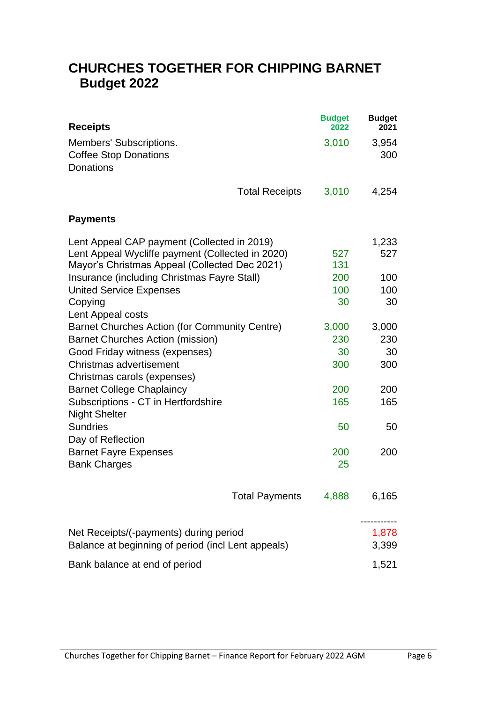### **CHURCHES TOGETHER FOR CHIPPING BARNET Budget 2022**

| <b>Receipts</b>                                                                                                                                                                                 |                       | <b>Budget</b><br>2022 | <b>Budget</b><br>2021 |
|-------------------------------------------------------------------------------------------------------------------------------------------------------------------------------------------------|-----------------------|-----------------------|-----------------------|
| Members' Subscriptions.<br><b>Coffee Stop Donations</b><br><b>Donations</b>                                                                                                                     |                       | 3,010                 | 3,954<br>300          |
|                                                                                                                                                                                                 | <b>Total Receipts</b> | 3,010                 | 4,254                 |
| <b>Payments</b>                                                                                                                                                                                 |                       |                       |                       |
| Lent Appeal CAP payment (Collected in 2019)<br>Lent Appeal Wycliffe payment (Collected in 2020)<br>Mayor's Christmas Appeal (Collected Dec 2021)<br>Insurance (including Christmas Fayre Stall) |                       | 527<br>131<br>200     | 1,233<br>527<br>100   |
| <b>United Service Expenses</b><br>Copying<br>Lent Appeal costs                                                                                                                                  |                       | 100<br>30             | 100<br>30             |
| Barnet Churches Action (for Community Centre)<br><b>Barnet Churches Action (mission)</b><br>Good Friday witness (expenses)                                                                      |                       | 3,000<br>230<br>30    | 3,000<br>230<br>30    |
| Christmas advertisement<br>Christmas carols (expenses)                                                                                                                                          |                       | 300                   | 300                   |
| <b>Barnet College Chaplaincy</b><br>Subscriptions - CT in Hertfordshire<br><b>Night Shelter</b>                                                                                                 |                       | 200<br>165            | 200<br>165            |
| <b>Sundries</b><br>Day of Reflection                                                                                                                                                            |                       | 50                    | 50                    |
| <b>Barnet Fayre Expenses</b><br><b>Bank Charges</b>                                                                                                                                             |                       | 200<br>25             | 200                   |
|                                                                                                                                                                                                 | <b>Total Payments</b> | 4,888                 | 6,165                 |
| Net Receipts/(-payments) during period<br>Balance at beginning of period (incl Lent appeals)                                                                                                    |                       |                       | 1,878<br>3,399        |
| Bank balance at end of period                                                                                                                                                                   |                       |                       | 1,521                 |